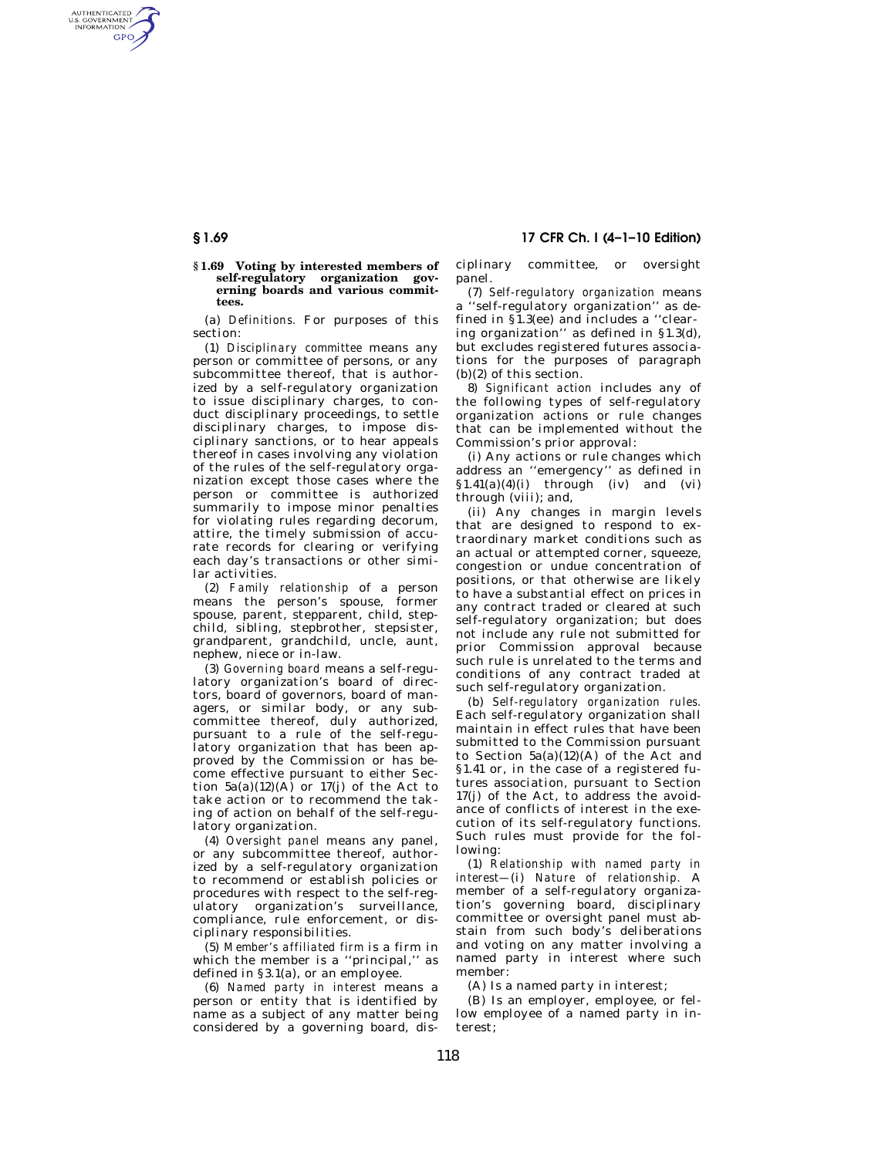AUTHENTICATED<br>U.S. GOVERNMENT<br>INFORMATION GPO

### **§ 1.69 Voting by interested members of self-regulatory organization governing boards and various committees.**

(a) *Definitions.* For purposes of this section:

(1) *Disciplinary committee* means any person or committee of persons, or any subcommittee thereof, that is authorized by a self-regulatory organization to issue disciplinary charges, to conduct disciplinary proceedings, to settle disciplinary charges, to impose disciplinary sanctions, or to hear appeals thereof in cases involving any violation of the rules of the self-regulatory organization except those cases where the person or committee is authorized summarily to impose minor penalties for violating rules regarding decorum, attire, the timely submission of accurate records for clearing or verifying each day's transactions or other similar activities.

(2) *Family relationship* of a person means the person's spouse, former spouse, parent, stepparent, child, stepchild, sibling, stepbrother, stepsister, grandparent, grandchild, uncle, aunt, nephew, niece or in-law.

(3) *Governing board* means a self-regulatory organization's board of directors, board of governors, board of managers, or similar body, or any subcommittee thereof, duly authorized, pursuant to a rule of the self-regulatory organization that has been approved by the Commission or has become effective pursuant to either Section  $5a(a)(12)(A)$  or  $17(i)$  of the Act to take action or to recommend the taking of action on behalf of the self-regulatory organization.

(4) *Oversight panel* means any panel, or any subcommittee thereof, authorized by a self-regulatory organization to recommend or establish policies or procedures with respect to the self-regulatory organization's surveillance, compliance, rule enforcement, or disciplinary responsibilities.

(5) *Member's affiliated firm* is a firm in which the member is a ''principal,'' as defined in §3.1(a), or an employee.

(6) *Named party in interest* means a person or entity that is identified by name as a subject of any matter being considered by a governing board, dis-

**§ 1.69 17 CFR Ch. I (4–1–10 Edition)** 

ciplinary committee, or oversight panel.

(7) *Self-regulatory organization* means a ''self-regulatory organization'' as defined in §1.3(ee) and includes a ''clearing organization'' as defined in §1.3(d), but excludes registered futures associations for the purposes of paragraph (b)(2) of this section.

8) *Significant action* includes any of the following types of self-regulatory organization actions or rule changes that can be implemented without the Commission's prior approval:

(i) Any actions or rule changes which address an ''emergency'' as defined in  $$1.41(a)(4)(i)$  through (iv) and (vi) through (viii); and,

(ii) Any changes in margin levels that are designed to respond to extraordinary market conditions such as an actual or attempted corner, squeeze, congestion or undue concentration of positions, or that otherwise are likely to have a substantial effect on prices in any contract traded or cleared at such self-regulatory organization; but does not include any rule not submitted for prior Commission approval because such rule is unrelated to the terms and conditions of any contract traded at such self-regulatory organization.

(b) *Self-regulatory organization rules.*  Each self-regulatory organization shall maintain in effect rules that have been submitted to the Commission pursuant to Section  $5a(a)(12)(A)$  of the Act and §1.41 or, in the case of a registered futures association, pursuant to Section 17(j) of the Act, to address the avoidance of conflicts of interest in the execution of its self-regulatory functions. Such rules must provide for the following:

(1) *Relationship with named party in interest—*(i) *Nature of relationship.* A member of a self-regulatory organization's governing board, disciplinary committee or oversight panel must abstain from such body's deliberations and voting on any matter involving a named party in interest where such member:

(A) Is a named party in interest;

(B) Is an employer, employee, or fellow employee of a named party in interest;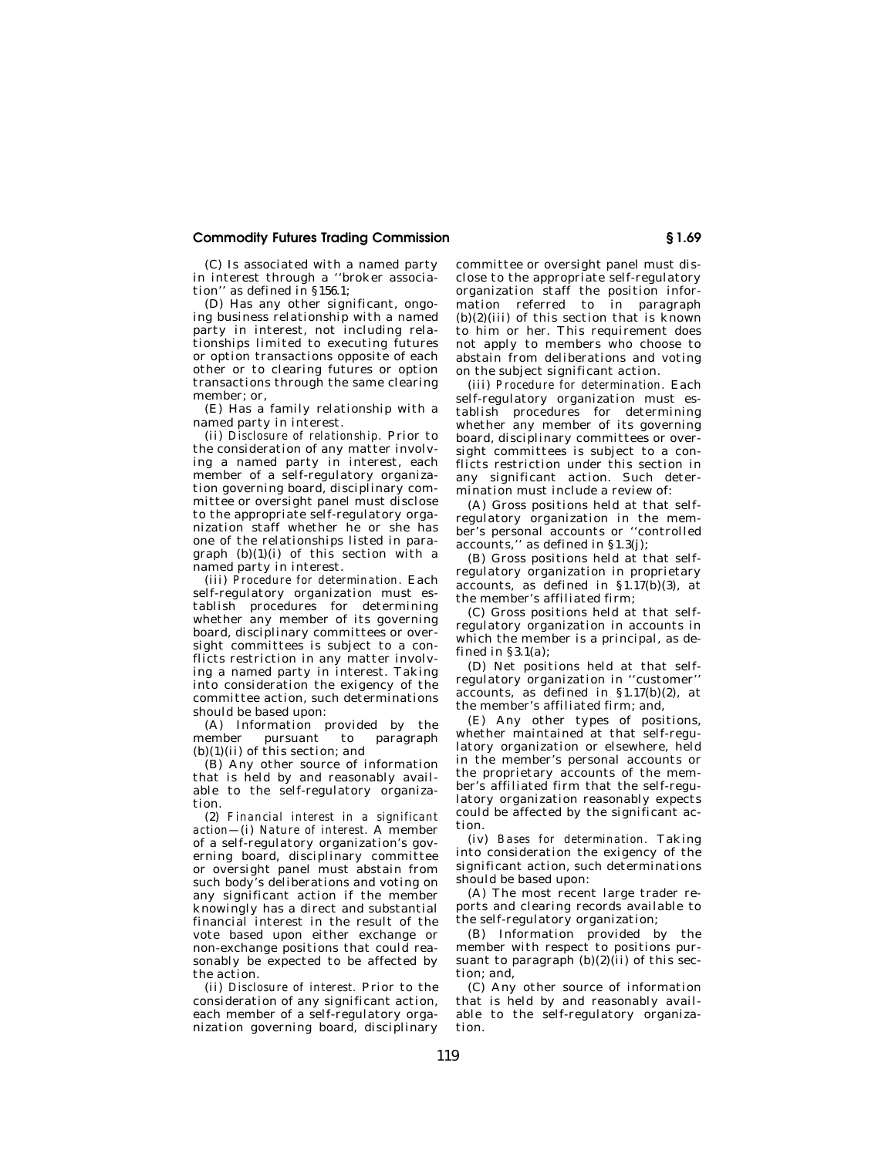## **Commodity Futures Trading Commission § 1.69**

(C) Is associated with a named party in interest through a ''broker association'' as defined in §156.1;

(D) Has any other significant, ongoing business relationship with a named party in interest, not including relationships limited to executing futures or option transactions opposite of each other or to clearing futures or option transactions through the same clearing member; or,

(E) Has a family relationship with a named party in interest.

(ii) *Disclosure of relationship.* Prior to the consideration of any matter involving a named party in interest, each member of a self-regulatory organization governing board, disciplinary committee or oversight panel must disclose to the appropriate self-regulatory organization staff whether he or she has one of the relationships listed in paragraph  $(b)(1)(i)$  of this section with a named party in interest.

(iii) *Procedure for determination.* Each self-regulatory organization must establish procedures for determining whether any member of its governing board, disciplinary committees or oversight committees is subject to a conflicts restriction in any matter involving a named party in interest. Taking into consideration the exigency of the committee action, such determinations should be based upon:

(A) Information provided by the member pursuant to paragraph (b)(1)(ii) of this section; and

(B) Any other source of information that is held by and reasonably available to the self-regulatory organization.

(2) *Financial interest in a significant action—*(i) *Nature of interest.* A member of a self-regulatory organization's governing board, disciplinary committee or oversight panel must abstain from such body's deliberations and voting on any significant action if the member knowingly has a direct and substantial financial interest in the result of the vote based upon either exchange or non-exchange positions that could reasonably be expected to be affected by the action.

(ii) *Disclosure of interest.* Prior to the consideration of any significant action, each member of a self-regulatory organization governing board, disciplinary committee or oversight panel must disclose to the appropriate self-regulatory organization staff the position information referred to in paragraph  $(b)(2)(iii)$  of this section that is known to him or her. This requirement does not apply to members who choose to abstain from deliberations and voting on the subject significant action.

(iii) *Procedure for determination.* Each self-regulatory organization must establish procedures for determining whether any member of its governing board, disciplinary committees or oversight committees is subject to a conflicts restriction under this section in any significant action. Such determination must include a review of:

(A) Gross positions held at that selfregulatory organization in the member's personal accounts or ''controlled accounts,'' as defined in §1.3(j);

(B) Gross positions held at that selfregulatory organization in proprietary accounts, as defined in  $\S 1.17(b)(3)$ , at the member's affiliated firm;

(C) Gross positions held at that selfregulatory organization in accounts in which the member is a principal, as defined in §3.1(a);

(D) Net positions held at that selfregulatory organization in ''customer'' accounts, as defined in  $\S 1.17(b)(2)$ , at the member's affiliated firm; and,

(E) Any other types of positions, whether maintained at that self-regulatory organization or elsewhere, held in the member's personal accounts or the proprietary accounts of the member's affiliated firm that the self-regulatory organization reasonably expects could be affected by the significant action.

(iv) *Bases for determination.* Taking into consideration the exigency of the significant action, such determinations should be based upon:

(A) The most recent large trader reports and clearing records available to the self-regulatory organization;

(B) Information provided by the member with respect to positions pursuant to paragraph  $(b)(2)(ii)$  of this section; and,

(C) Any other source of information that is held by and reasonably available to the self-regulatory organization.